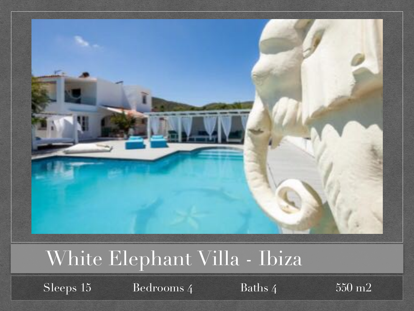

# White Elephant Villa - Ibiza

Sleeps 15 Bedrooms 4 Baths 4 550 m2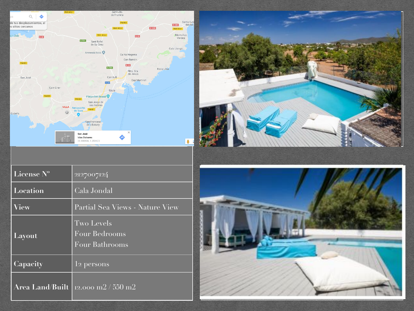



| <b>LICCHISC 11</b>       | 2127007124                                                  |
|--------------------------|-------------------------------------------------------------|
| Location                 | Cala Jondal                                                 |
| $\sqrt{\rm{V}}$ iew      | Partial Sea Views - Nature View                             |
| <b>Layout</b>            | Two Levels<br>Four Bedrooms<br><b>Four Bathrooms</b>        |
| $\sqrt{\text{Capacity}}$ | 12 persons                                                  |
|                          | Area Land/Built $\sqrt{12.000 \text{ m}^2/550 \text{ m}^2}$ |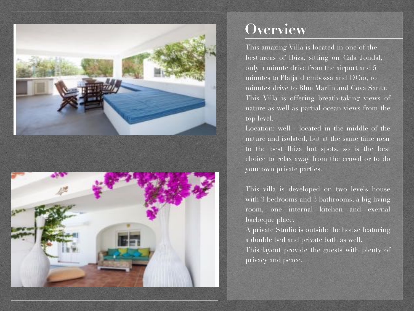

### **Overview**

This amazing Villa is located in one of the best areas of Ibiza, sitting on Cala Jondal, only 1 minute drive from the airport and 5 minutes to Platja d embossa and DC10, 10 minutes drive to Blue Marlin and Cova Santa. This Villa is offering breath-taking views of nature as well as partial ocean views from the top level.

Location: well - located in the middle of the nature and isolated, but at the same time near to the best Ibiza hot spots, so is the best choice to relax away from the crowd or to do your own private parties.

This villa is developed on two levels house with 3 bedrooms and 3 bathrooms, a big living room, one internal kitchen and exernal barbeque place.

A private Studio is outside the house featuring a double bed and private bath as well.

This layout provide the guests with plenty of privacy and peace.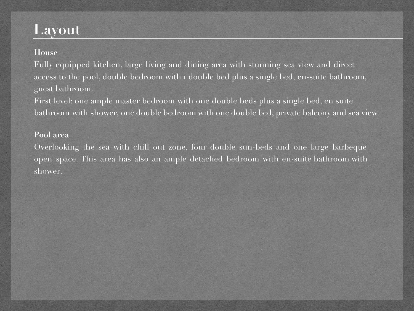### **Layout**

### **House**

Fully equipped kitchen, large living and dining area with stunning sea view and direct access to the pool, double bedroom with 1 double bed plus a single bed, en-suite bathroom, guest bathroom.

First level: one ample master bedroom with one double beds plus a single bed, en suite bathroom with shower, one double bedroom with one double bed, private balcony and sea view

#### **Pool area**

Overlooking the sea with chill out zone, four double sun-beds and one large barbeque open space. This area has also an ample detached bedroom with en-suite bathroom with shower.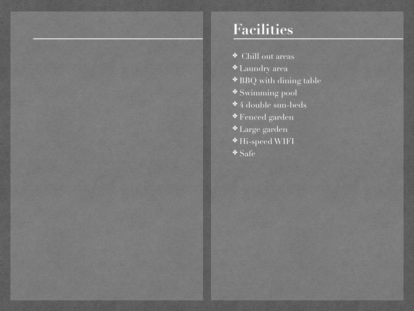## **Facilities**

- ✤ Chill out areas
- ✤ Laundry area
- ✤ BBQ with dining table
- ✤ Swimming pool
- ✤ 4 double sun-beds
- ✤ Fenced garden
- ✤ Large garden
- ✤ Hi-speed WIFI
- ✤ Safe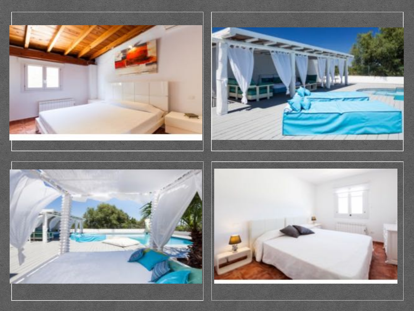